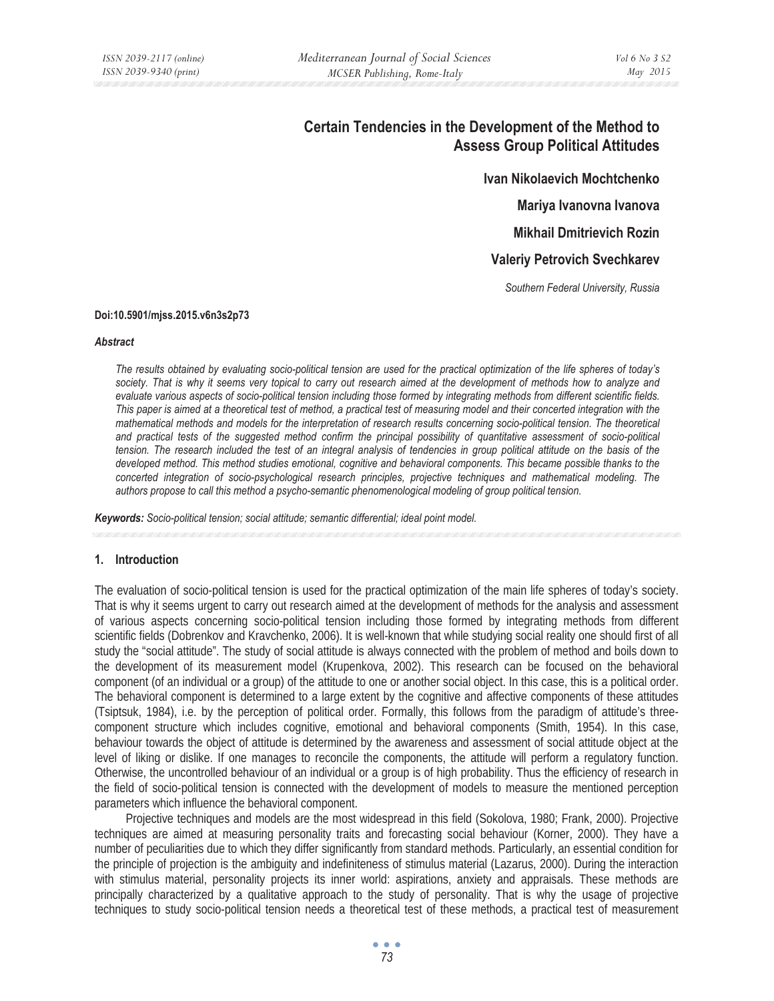# **Certain Tendencies in the Development of the Method to Assess Group Political Attitudes**

**Ivan Nikolaevich Mochtchenko** 

**Mariya Ivanovna Ivanova** 

**Mikhail Dmitrievich Rozin** 

**Valeriy Petrovich Svechkarev** 

*Southern Federal University, Russia* 

#### **Doi:10.5901/mjss.2015.v6n3s2p73**

#### *Abstract*

*The results obtained by evaluating socio-political tension are used for the practical optimization of the life spheres of today's*  society. That is why it seems very topical to carry out research aimed at the development of methods how to analyze and *evaluate various aspects of socio-political tension including those formed by integrating methods from different scientific fields. This paper is aimed at a theoretical test of method, a practical test of measuring model and their concerted integration with the mathematical methods and models for the interpretation of research results concerning socio-political tension. The theoretical*  and practical tests of the suggested method confirm the principal possibility of quantitative assessment of socio-political *tension. The research included the test of an integral analysis of tendencies in group political attitude on the basis of the developed method. This method studies emotional, cognitive and behavioral components. This became possible thanks to the concerted integration of socio-psychological research principles, projective techniques and mathematical modeling. The authors propose to call this method a psycho-semantic phenomenological modeling of group political tension.* 

*Keywords: Socio-political tension; social attitude; semantic differential; ideal point model.* 

## **1. Introduction**

The evaluation of socio-political tension is used for the practical optimization of the main life spheres of today's society. That is why it seems urgent to carry out research aimed at the development of methods for the analysis and assessment of various aspects concerning socio-political tension including those formed by integrating methods from different scientific fields (Dobrenkov and Kravchenko, 2006). It is well-known that while studying social reality one should first of all study the "social attitude". The study of social attitude is always connected with the problem of method and boils down to the development of its measurement model (Krupenkova, 2002). This research can be focused on the behavioral component (of an individual or a group) of the attitude to one or another social object. In this case, this is a political order. The behavioral component is determined to a large extent by the cognitive and affective components of these attitudes (Tsiptsuk, 1984), i.e. by the perception of political order. Formally, this follows from the paradigm of attitude's threecomponent structure which includes cognitive, emotional and behavioral components (Smith, 1954). In this case, behaviour towards the object of attitude is determined by the awareness and assessment of social attitude object at the level of liking or dislike. If one manages to reconcile the components, the attitude will perform a regulatory function. Otherwise, the uncontrolled behaviour of an individual or a group is of high probability. Thus the efficiency of research in the field of socio-political tension is connected with the development of models to measure the mentioned perception parameters which influence the behavioral component.

Projective techniques and models are the most widespread in this field (Sokolova, 1980; Frank, 2000). Projective techniques are aimed at measuring personality traits and forecasting social behaviour (Korner, 2000). They have a number of peculiarities due to which they differ significantly from standard methods. Particularly, an essential condition for the principle of projection is the ambiguity and indefiniteness of stimulus material (Lazarus, 2000). During the interaction with stimulus material, personality projects its inner world: aspirations, anxiety and appraisals. These methods are principally characterized by a qualitative approach to the study of personality. That is why the usage of projective techniques to study socio-political tension needs a theoretical test of these methods, a practical test of measurement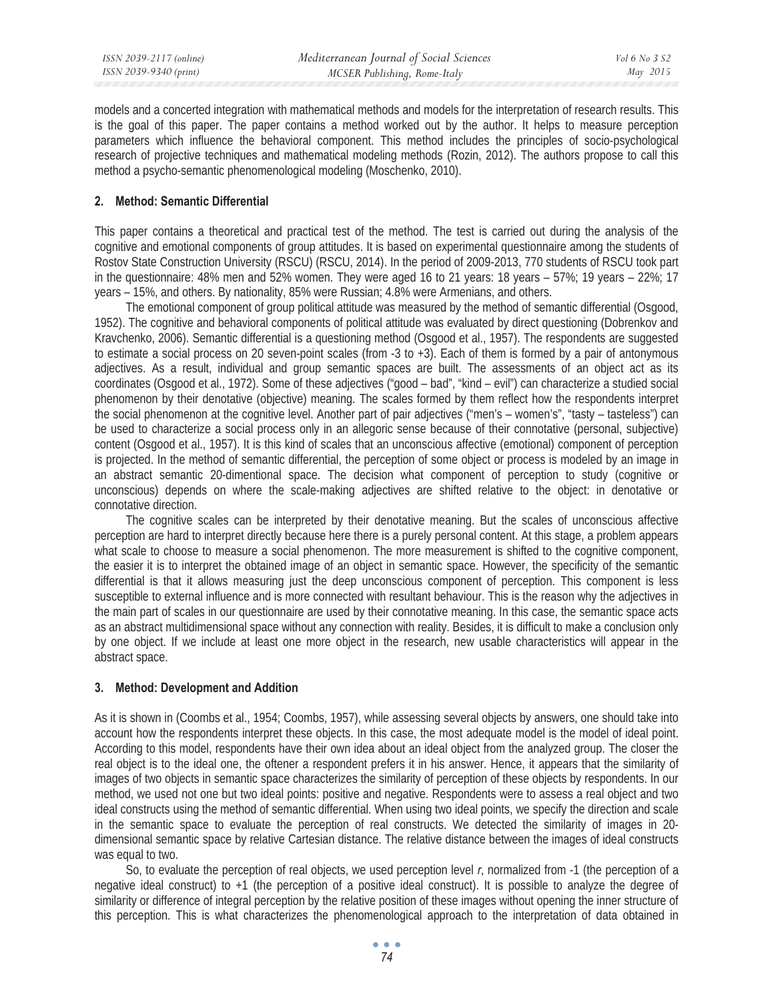models and a concerted integration with mathematical methods and models for the interpretation of research results. This is the goal of this paper. The paper contains a method worked out by the author. It helps to measure perception parameters which influence the behavioral component. This method includes the principles of socio-psychological research of projective techniques and mathematical modeling methods (Rozin, 2012). The authors propose to call this method a psycho-semantic phenomenological modeling (Moschenko, 2010).

## **2. Method: Semantic Differential**

This paper contains a theoretical and practical test of the method. The test is carried out during the analysis of the cognitive and emotional components of group attitudes. It is based on experimental questionnaire among the students of Rostov State Construction University (RSCU) (RSCU, 2014). In the period of 2009-2013, 770 students of RSCU took part in the questionnaire: 48% men and 52% women. They were aged 16 to 21 years: 18 years – 57%; 19 years – 22%; 17 years – 15%, and others. By nationality, 85% were Russian; 4.8% were Armenians, and others.

The emotional component of group political attitude was measured by the method of semantic differential (Osgood, 1952). The cognitive and behavioral components of political attitude was evaluated by direct questioning (Dobrenkov and Kravchenko, 2006). Semantic differential is a questioning method (Osgood et al., 1957). The respondents are suggested to estimate a social process on 20 seven-point scales (from -3 to +3). Each of them is formed by a pair of antonymous adjectives. As a result, individual and group semantic spaces are built. The assessments of an object act as its coordinates (Osgood et al., 1972). Some of these adjectives ("good – bad", "kind – evil") can characterize a studied social phenomenon by their denotative (objective) meaning. The scales formed by them reflect how the respondents interpret the social phenomenon at the cognitive level. Another part of pair adjectives ("men's – women's", "tasty – tasteless") can be used to characterize a social process only in an allegoric sense because of their connotative (personal, subjective) content (Osgood et al., 1957). It is this kind of scales that an unconscious affective (emotional) component of perception is projected. In the method of semantic differential, the perception of some object or process is modeled by an image in an abstract semantic 20-dimentional space. The decision what component of perception to study (cognitive or unconscious) depends on where the scale-making adjectives are shifted relative to the object: in denotative or connotative direction.

The cognitive scales can be interpreted by their denotative meaning. But the scales of unconscious affective perception are hard to interpret directly because here there is a purely personal content. At this stage, a problem appears what scale to choose to measure a social phenomenon. The more measurement is shifted to the cognitive component, the easier it is to interpret the obtained image of an object in semantic space. However, the specificity of the semantic differential is that it allows measuring just the deep unconscious component of perception. This component is less susceptible to external influence and is more connected with resultant behaviour. This is the reason why the adjectives in the main part of scales in our questionnaire are used by their connotative meaning. In this case, the semantic space acts as an abstract multidimensional space without any connection with reality. Besides, it is difficult to make a conclusion only by one object. If we include at least one more object in the research, new usable characteristics will appear in the abstract space.

## **3. Method: Development and Addition**

As it is shown in (Coombs et al., 1954; Coombs, 1957), while assessing several objects by answers, one should take into account how the respondents interpret these objects. In this case, the most adequate model is the model of ideal point. According to this model, respondents have their own idea about an ideal object from the analyzed group. The closer the real object is to the ideal one, the oftener a respondent prefers it in his answer. Hence, it appears that the similarity of images of two objects in semantic space characterizes the similarity of perception of these objects by respondents. In our method, we used not one but two ideal points: positive and negative. Respondents were to assess a real object and two ideal constructs using the method of semantic differential. When using two ideal points, we specify the direction and scale in the semantic space to evaluate the perception of real constructs. We detected the similarity of images in 20 dimensional semantic space by relative Cartesian distance. The relative distance between the images of ideal constructs was equal to two.

So, to evaluate the perception of real objects, we used perception level *r*, normalized from -1 (the perception of a negative ideal construct) to +1 (the perception of a positive ideal construct). It is possible to analyze the degree of similarity or difference of integral perception by the relative position of these images without opening the inner structure of this perception. This is what characterizes the phenomenological approach to the interpretation of data obtained in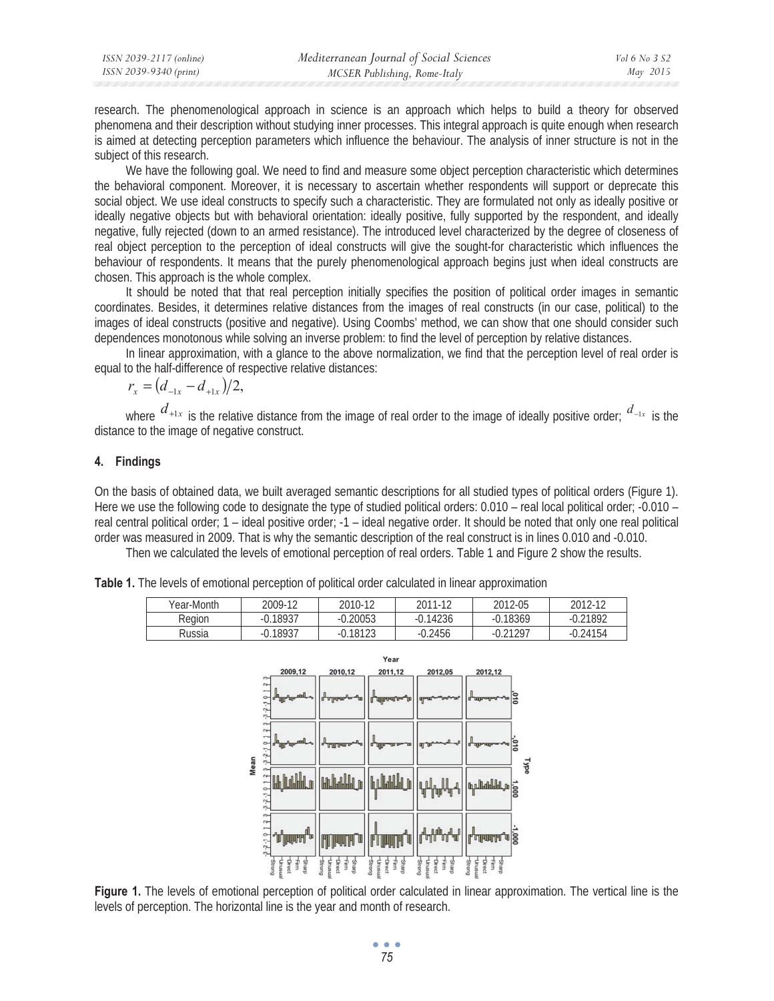| ISSN 2039-2117 (online) | Mediterranean Journal of Social Sciences | <i>Vol</i> 6 No 3 S2 |
|-------------------------|------------------------------------------|----------------------|
| ISSN 2039-9340 (print)  | MCSER Publishing, Rome-Italy             | May 2015             |

research. The phenomenological approach in science is an approach which helps to build a theory for observed phenomena and their description without studying inner processes. This integral approach is quite enough when research is aimed at detecting perception parameters which influence the behaviour. The analysis of inner structure is not in the subject of this research.

We have the following goal. We need to find and measure some object perception characteristic which determines the behavioral component. Moreover, it is necessary to ascertain whether respondents will support or deprecate this social object. We use ideal constructs to specify such a characteristic. They are formulated not only as ideally positive or ideally negative objects but with behavioral orientation: ideally positive, fully supported by the respondent, and ideally negative, fully rejected (down to an armed resistance). The introduced level characterized by the degree of closeness of real object perception to the perception of ideal constructs will give the sought-for characteristic which influences the behaviour of respondents. It means that the purely phenomenological approach begins just when ideal constructs are chosen. This approach is the whole complex.

It should be noted that that real perception initially specifies the position of political order images in semantic coordinates. Besides, it determines relative distances from the images of real constructs (in our case, political) to the images of ideal constructs (positive and negative). Using Coombs' method, we can show that one should consider such dependences monotonous while solving an inverse problem: to find the level of perception by relative distances.

In linear approximation, with a glance to the above normalization, we find that the perception level of real order is equal to the half-difference of respective relative distances:

$$
r_{x}=(d_{-1x}-d_{+1x})/2,
$$

where  $d_{+1x}$  is the relative distance from the image of real order to the image of ideally positive order;  $d_{-1x}$  is the distance to the image of negative construct.

## **4. Findings**

On the basis of obtained data, we built averaged semantic descriptions for all studied types of political orders (Figure 1). Here we use the following code to designate the type of studied political orders: 0.010 – real local political order; -0.010 – real central political order; 1 – ideal positive order; -1 – ideal negative order. It should be noted that only one real political order was measured in 2009. That is why the semantic description of the real construct is in lines 0.010 and -0.010.

Then we calculated the levels of emotional perception of real orders. Table 1 and Figure 2 show the results.

| Year-Month      | 2009-12    | 2010-12 | 2011-12    | 2012-05 | 2012-12 |
|-----------------|------------|---------|------------|---------|---------|
| Reaion          | $-0.18937$ | 0.20053 | $-0.14236$ | 0.18369 | 0.21892 |
| D <sub>in</sub> | 0.10027    | 0.10102 | 0.2151     | 0.21207 | 0.211E1 |

**Table 1.** The levels of emotional perception of political order calculated in linear approximation



**Figure 1.** The levels of emotional perception of political order calculated in linear approximation. The vertical line is the levels of perception. The horizontal line is the year and month of research.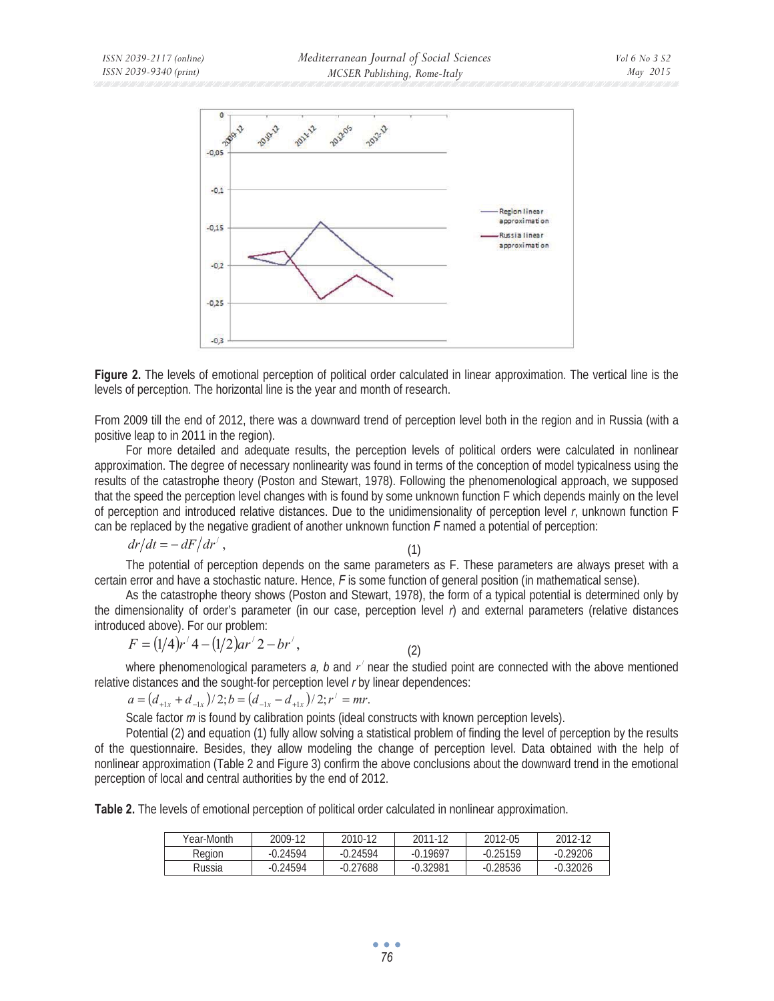



From 2009 till the end of 2012, there was a downward trend of perception level both in the region and in Russia (with a positive leap to in 2011 in the region).

For more detailed and adequate results, the perception levels of political orders were calculated in nonlinear approximation. The degree of necessary nonlinearity was found in terms of the conception of model typicalness using the results of the catastrophe theory (Poston and Stewart, 1978). Following the phenomenological approach, we supposed that the speed the perception level changes with is found by some unknown function F which depends mainly on the level of perception and introduced relative distances. Due to the unidimensionality of perception level *r*, unknown function F can be replaced by the negative gradient of another unknown function *F* named a potential of perception:

$$
dr/dt = -\left. dF/dr' \right., \tag{1}
$$

The potential of perception depends on the same parameters as F. These parameters are always preset with a certain error and have a stochastic nature. Hence, *F* is some function of general position (in mathematical sense).

As the catastrophe theory shows (Poston and Stewart, 1978), the form of a typical potential is determined only by the dimensionality of order's parameter (in our case, perception level *r*) and external parameters (relative distances introduced above). For our problem:

$$
F = (1/4)r'4 - (1/2)ar'2 - br', \t\t(2)
$$

where phenomenological parameters  $a$ ,  $b$  and  $r'$  near the studied point are connected with the above mentioned relative distances and the sought-for perception level *r* by linear dependences:

 $a = (d_{+1x} + d_{-1x})/2; b = (d_{-1x} - d_{+1x})/2; r' = mr.$ 

Scale factor *m* is found by calibration points (ideal constructs with known perception levels).

Potential (2) and equation (1) fully allow solving a statistical problem of finding the level of perception by the results of the questionnaire. Besides, they allow modeling the change of perception level. Data obtained with the help of nonlinear approximation (Table 2 and Figure 3) confirm the above conclusions about the downward trend in the emotional perception of local and central authorities by the end of 2012.

**Table 2.** The levels of emotional perception of political order calculated in nonlinear approximation.

| Year-Month | 2009-12    | 2010-12    | 2011-12    | 2012-05    | 2012-12    |
|------------|------------|------------|------------|------------|------------|
| Region     | $-0.24594$ | $-0.24594$ | $-0.19697$ | $-0.25159$ | $-0.29206$ |
| Russia     | $-0.24594$ | $-0.27688$ | $-0.32981$ | $-0.28536$ | $-0.32026$ |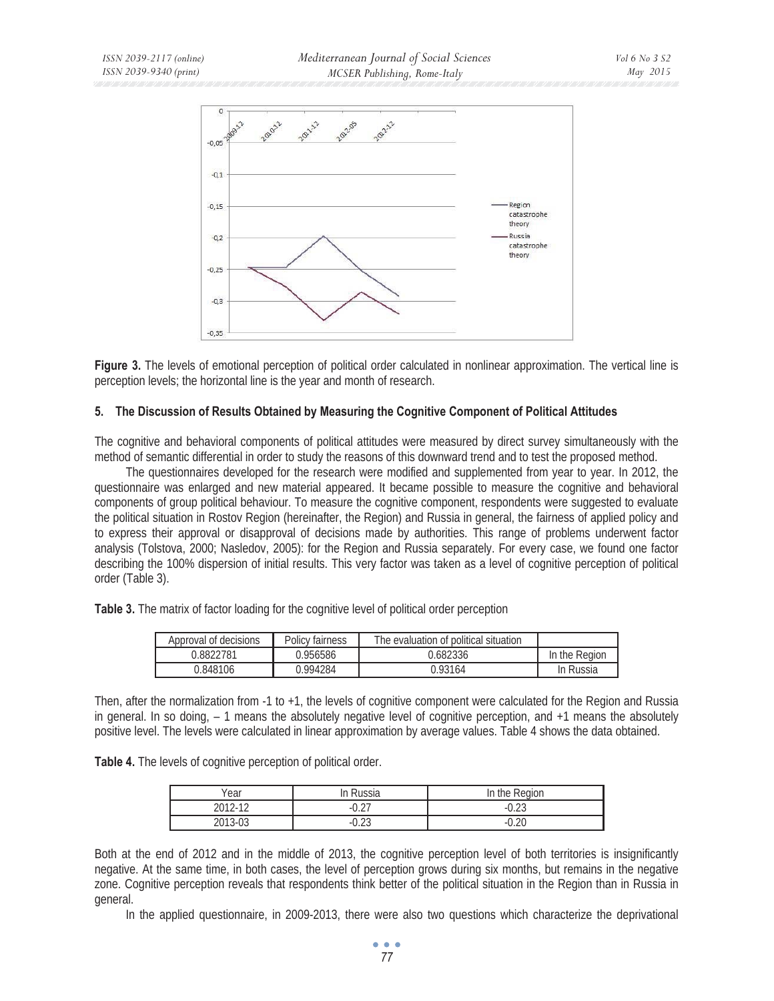

**Figure 3.** The levels of emotional perception of political order calculated in nonlinear approximation. The vertical line is perception levels; the horizontal line is the year and month of research.

## **5. The Discussion of Results Obtained by Measuring the Cognitive Component of Political Attitudes**

The cognitive and behavioral components of political attitudes were measured by direct survey simultaneously with the method of semantic differential in order to study the reasons of this downward trend and to test the proposed method.

The questionnaires developed for the research were modified and supplemented from year to year. In 2012, the questionnaire was enlarged and new material appeared. It became possible to measure the cognitive and behavioral components of group political behaviour. To measure the cognitive component, respondents were suggested to evaluate the political situation in Rostov Region (hereinafter, the Region) and Russia in general, the fairness of applied policy and to express their approval or disapproval of decisions made by authorities. This range of problems underwent factor analysis (Tolstova, 2000; Nasledov, 2005): for the Region and Russia separately. For every case, we found one factor describing the 100% dispersion of initial results. This very factor was taken as a level of cognitive perception of political order (Table 3).

**Table 3.** The matrix of factor loading for the cognitive level of political order perception

| Approval of decisions | Policy fairness | The evaluation of political situation |               |
|-----------------------|-----------------|---------------------------------------|---------------|
| 0.8822781             | ን.956586        | 0.682336                              | In the Region |
| 0.848106              | ገ 994284        | 0.93164                               | In Russia     |

Then, after the normalization from -1 to +1, the levels of cognitive component were calculated for the Region and Russia in general. In so doing, – 1 means the absolutely negative level of cognitive perception, and +1 means the absolutely positive level. The levels were calculated in linear approximation by average values. Table 4 shows the data obtained.

**Table 4.** The levels of cognitive perception of political order.

| Year         | In Russia              | In the Region |
|--------------|------------------------|---------------|
| 2012-12<br>∠ | דר ח<br>-U.Z.          | $\cap$ $\cap$ |
| 2013-03      | $\cap$ $\cap$<br>-U.ZJ | റ ററ          |

Both at the end of 2012 and in the middle of 2013, the cognitive perception level of both territories is insignificantly negative. At the same time, in both cases, the level of perception grows during six months, but remains in the negative zone. Cognitive perception reveals that respondents think better of the political situation in the Region than in Russia in general.

In the applied questionnaire, in 2009-2013, there were also two questions which characterize the deprivational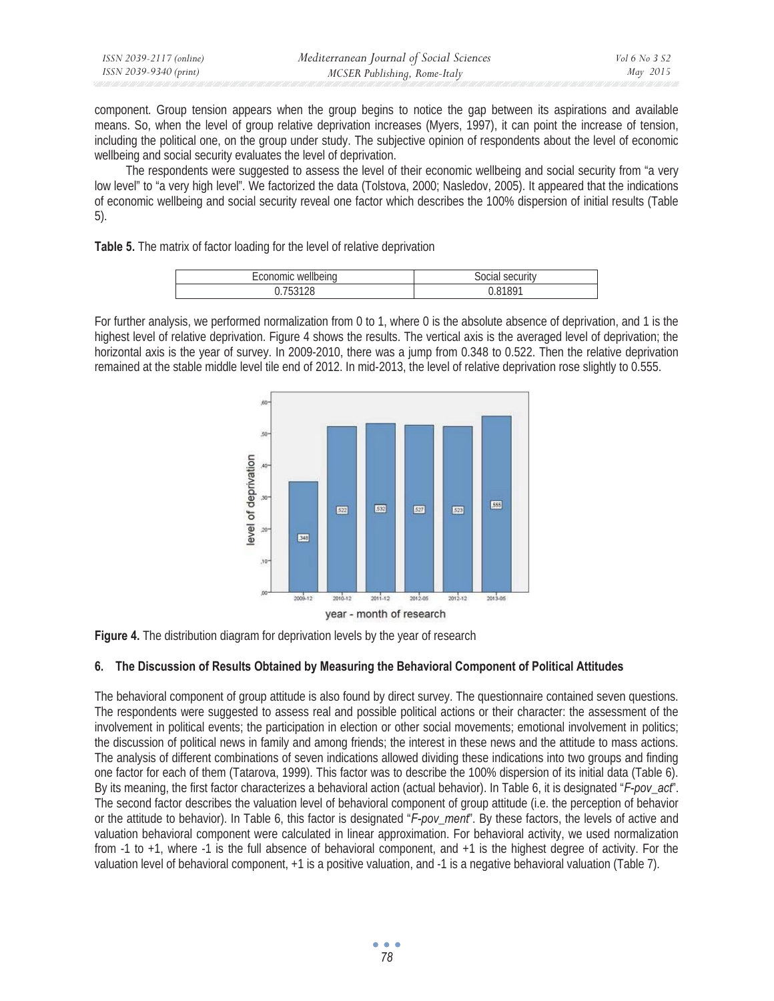| ISSN 2039-2117 (online) | Mediterranean Journal of Social Sciences | Vol 6 No 3 S2 |
|-------------------------|------------------------------------------|---------------|
| ISSN 2039-9340 (print)  | MCSER Publishing, Rome-Italy             | May 2015      |

component. Group tension appears when the group begins to notice the gap between its aspirations and available means. So, when the level of group relative deprivation increases (Myers, 1997), it can point the increase of tension, including the political one, on the group under study. The subjective opinion of respondents about the level of economic wellbeing and social security evaluates the level of deprivation.

The respondents were suggested to assess the level of their economic wellbeing and social security from "a very low level" to "a very high level". We factorized the data (Tolstova, 2000; Nasledov, 2005). It appeared that the indications of economic wellbeing and social security reveal one factor which describes the 100% dispersion of initial results (Table 5).

**Table 5.** The matrix of factor loading for the level of relative deprivation

|           | $rac{1}{2}$   |
|-----------|---------------|
| wellbeing | security      |
| лионис    | <b>SULIAL</b> |
| h         | <b>81801</b>  |

For further analysis, we performed normalization from 0 to 1, where 0 is the absolute absence of deprivation, and 1 is the highest level of relative deprivation. Figure 4 shows the results. The vertical axis is the averaged level of deprivation; the horizontal axis is the year of survey. In 2009-2010, there was a jump from 0.348 to 0.522. Then the relative deprivation remained at the stable middle level tile end of 2012. In mid-2013, the level of relative deprivation rose slightly to 0.555.



**Figure 4.** The distribution diagram for deprivation levels by the year of research

## **6. The Discussion of Results Obtained by Measuring the Behavioral Component of Political Attitudes**

The behavioral component of group attitude is also found by direct survey. The questionnaire contained seven questions. The respondents were suggested to assess real and possible political actions or their character: the assessment of the involvement in political events; the participation in election or other social movements; emotional involvement in politics; the discussion of political news in family and among friends; the interest in these news and the attitude to mass actions. The analysis of different combinations of seven indications allowed dividing these indications into two groups and finding one factor for each of them (Tatarova, 1999). This factor was to describe the 100% dispersion of its initial data (Table 6). By its meaning, the first factor characterizes a behavioral action (actual behavior). In Table 6, it is designated "*F-pov\_act*". The second factor describes the valuation level of behavioral component of group attitude (i.e. the perception of behavior or the attitude to behavior). In Table 6, this factor is designated "*F-pov\_ment*". By these factors, the levels of active and valuation behavioral component were calculated in linear approximation. For behavioral activity, we used normalization from -1 to +1, where -1 is the full absence of behavioral component, and +1 is the highest degree of activity. For the valuation level of behavioral component, +1 is a positive valuation, and -1 is a negative behavioral valuation (Table 7).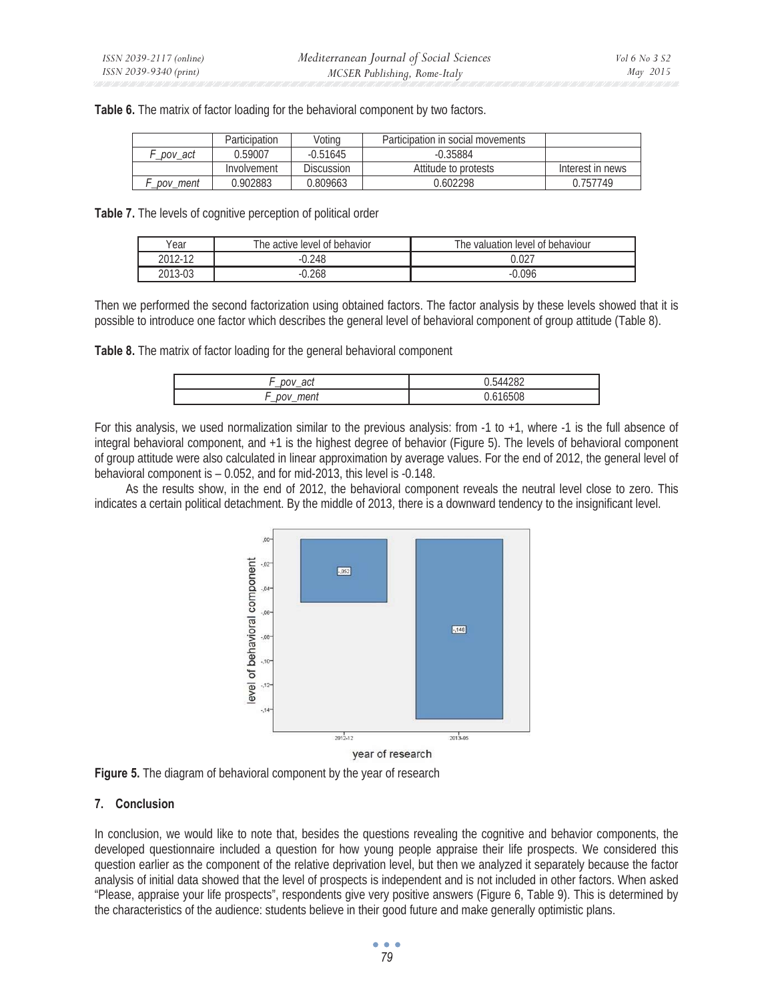**Table 6.** The matrix of factor loading for the behavioral component by two factors.

|          | Participation | Voting     | Participation in social movements |                  |
|----------|---------------|------------|-----------------------------------|------------------|
| pov act  | 0.59007       | $-0.51645$ | $-0.35884$                        |                  |
|          | Involvement   | Discussion | Attitude to protests              | Interest in news |
| pov ment | 0.902883      | 0.809663   | ን.602298                          | 0.757749         |

**Table 7.** The levels of cognitive perception of political order

| Year    | The active level of behavior | The valuation level of behaviour |
|---------|------------------------------|----------------------------------|
| 2012-12 | .248                         | J.027                            |
| 2013-03 | ).268                        | ን.096                            |

Then we performed the second factorization using obtained factors. The factor analysis by these levels showed that it is possible to introduce one factor which describes the general level of behavioral component of group attitude (Table 8).

**Table 8.** The matrix of factor loading for the general behavioral component

| act<br>DOV<br>–         | 4282<br>5/1/1 |
|-------------------------|---------------|
| ment<br>nov<br>'N<br>-- | אווחחו,       |

For this analysis, we used normalization similar to the previous analysis: from -1 to +1, where -1 is the full absence of integral behavioral component, and +1 is the highest degree of behavior (Figure 5). The levels of behavioral component of group attitude were also calculated in linear approximation by average values. For the end of 2012, the general level of behavioral component is – 0.052, and for mid-2013, this level is -0.148.

As the results show, in the end of 2012, the behavioral component reveals the neutral level close to zero. This indicates a certain political detachment. By the middle of 2013, there is a downward tendency to the insignificant level.



**Figure 5.** The diagram of behavioral component by the year of research

## **7. Conclusion**

In conclusion, we would like to note that, besides the questions revealing the cognitive and behavior components, the developed questionnaire included a question for how young people appraise their life prospects. We considered this question earlier as the component of the relative deprivation level, but then we analyzed it separately because the factor analysis of initial data showed that the level of prospects is independent and is not included in other factors. When asked "Please, appraise your life prospects", respondents give very positive answers (Figure 6, Table 9). This is determined by the characteristics of the audience: students believe in their good future and make generally optimistic plans.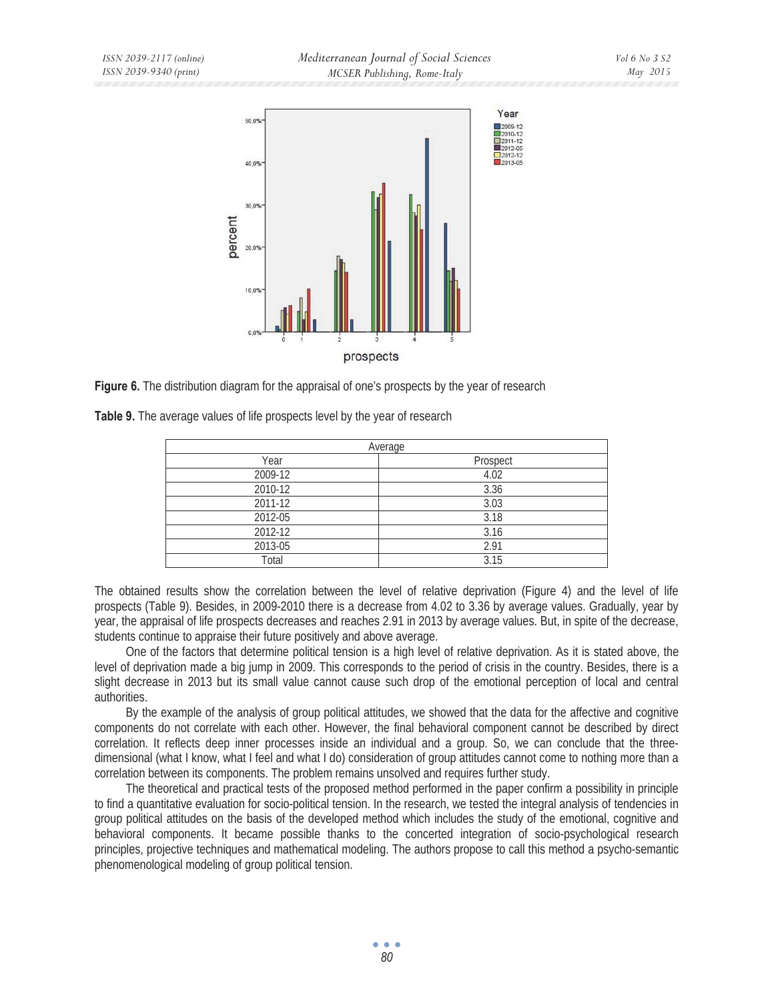

**Figure 6.** The distribution diagram for the appraisal of one's prospects by the year of research

|         | Average  |
|---------|----------|
| Year    | Prospect |
| 2009-12 | 4.02     |
| 2010-12 | 3.36     |
| 2011-12 | 3.03     |
| 2012-05 | 3.18     |
| 2012-12 | 3.16     |
| 2013-05 | 2.91     |
| Total   | 3.15     |

**Table 9.** The average values of life prospects level by the year of research

The obtained results show the correlation between the level of relative deprivation (Figure 4) and the level of life prospects (Table 9). Besides, in 2009-2010 there is a decrease from 4.02 to 3.36 by average values. Gradually, year by year, the appraisal of life prospects decreases and reaches 2.91 in 2013 by average values. But, in spite of the decrease, students continue to appraise their future positively and above average.

One of the factors that determine political tension is a high level of relative deprivation. As it is stated above, the level of deprivation made a big jump in 2009. This corresponds to the period of crisis in the country. Besides, there is a slight decrease in 2013 but its small value cannot cause such drop of the emotional perception of local and central authorities.

By the example of the analysis of group political attitudes, we showed that the data for the affective and cognitive components do not correlate with each other. However, the final behavioral component cannot be described by direct correlation. It reflects deep inner processes inside an individual and a group. So, we can conclude that the threedimensional (what I know, what I feel and what I do) consideration of group attitudes cannot come to nothing more than a correlation between its components. The problem remains unsolved and requires further study.

The theoretical and practical tests of the proposed method performed in the paper confirm a possibility in principle to find a quantitative evaluation for socio-political tension. In the research, we tested the integral analysis of tendencies in group political attitudes on the basis of the developed method which includes the study of the emotional, cognitive and behavioral components. It became possible thanks to the concerted integration of socio-psychological research principles, projective techniques and mathematical modeling. The authors propose to call this method a psycho-semantic phenomenological modeling of group political tension.